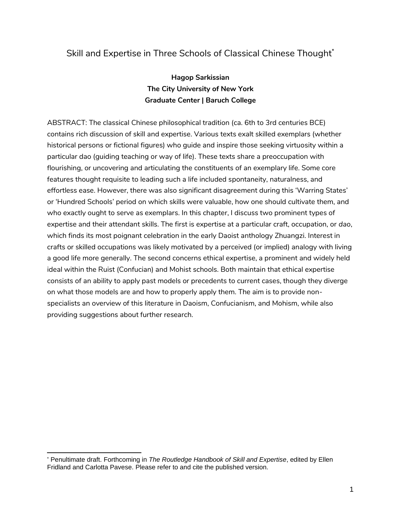# Skill and Expertise in Three Schools of Classical Chinese Thought<sup>\*</sup>

**Hagop Sarkissian The City University of New York Graduate Center | Baruch College**

ABSTRACT: The classical Chinese philosophical tradition (ca. 6th to 3rd centuries BCE) contains rich discussion of skill and expertise. Various texts exalt skilled exemplars (whether historical persons or fictional figures) who guide and inspire those seeking virtuosity within a particular dao (guiding teaching or way of life). These texts share a preoccupation with flourishing, or uncovering and articulating the constituents of an exemplary life. Some core features thought requisite to leading such a life included spontaneity, naturalness, and effortless ease. However, there was also significant disagreement during this 'Warring States' or 'Hundred Schools' period on which skills were valuable, how one should cultivate them, and who exactly ought to serve as exemplars. In this chapter, I discuss two prominent types of expertise and their attendant skills. The first is expertise at a particular craft, occupation, or *dao*, which finds its most poignant celebration in the early Daoist anthology Zhuangzi. Interest in crafts or skilled occupations was likely motivated by a perceived (or implied) analogy with living a good life more generally. The second concerns ethical expertise, a prominent and widely held ideal within the Ruist (Confucian) and Mohist schools. Both maintain that ethical expertise consists of an ability to apply past models or precedents to current cases, though they diverge on what those models are and how to properly apply them. The aim is to provide nonspecialists an overview of this literature in Daoism, Confucianism, and Mohism, while also providing suggestions about further research.

<sup>\*</sup> Penultimate draft. Forthcoming in *The Routledge Handbook of Skill and Expertise*, edited by Ellen Fridland and Carlotta Pavese. Please refer to and cite the published version.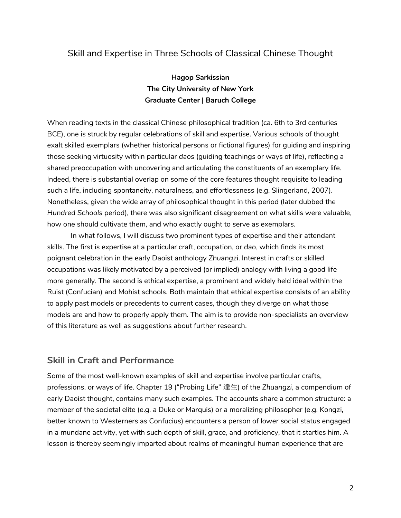### Skill and Expertise in Three Schools of Classical Chinese Thought

**Hagop Sarkissian The City University of New York Graduate Center | Baruch College**

When reading texts in the classical Chinese philosophical tradition (ca. 6th to 3rd centuries BCE), one is struck by regular celebrations of skill and expertise. Various schools of thought exalt skilled exemplars (whether historical persons or fictional figures) for guiding and inspiring those seeking virtuosity within particular *dao*s (guiding teachings or ways of life), reflecting a shared preoccupation with uncovering and articulating the constituents of an exemplary life. Indeed, there is substantial overlap on some of the core features thought requisite to leading such a life, including spontaneity, naturalness, and effortlessness [\(e.g. Slingerland, 2007\).](https://paperpile.com/c/Sfgud6/Vqsu/?prefix=e.g.) Nonetheless, given the wide array of philosophical thought in this period (later dubbed the *Hundred Schools* period), there was also significant disagreement on what skills were valuable, how one should cultivate them, and who exactly ought to serve as exemplars.

In what follows, I will discuss two prominent types of expertise and their attendant skills. The first is expertise at a particular craft, occupation, or *dao*, which finds its most poignant celebration in the early Daoist anthology *Zhuangzi*. Interest in crafts or skilled occupations was likely motivated by a perceived (or implied) analogy with living a good life more generally. The second is ethical expertise, a prominent and widely held ideal within the Ruist (Confucian) and Mohist schools. Both maintain that ethical expertise consists of an ability to apply past models or precedents to current cases, though they diverge on what those models are and how to properly apply them. The aim is to provide non-specialists an overview of this literature as well as suggestions about further research.

### **Skill in Craft and Performance**

Some of the most well-known examples of skill and expertise involve particular crafts, professions, or ways of life. Chapter 19 ("Probing Life" 達生) of the *Zhuangzi*, a compendium of early Daoist thought, contains many such examples. The accounts share a common structure: a member of the societal elite (e.g. a Duke or Marquis) or a moralizing philosopher (e.g. Kongzi, better known to Westerners as Confucius) encounters a person of lower social status engaged in a mundane activity, yet with such depth of skill, grace, and proficiency, that it startles him. A lesson is thereby seemingly imparted about realms of meaningful human experience that are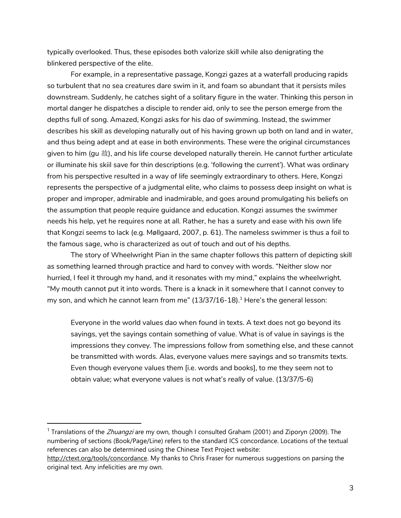typically overlooked. Thus, these episodes both valorize skill while also denigrating the blinkered perspective of the elite.

For example, in a representative passage, Kongzi gazes at a waterfall producing rapids so turbulent that no sea creatures dare swim in it, and foam so abundant that it persists miles downstream. Suddenly, he catches sight of a solitary figure in the water. Thinking this person in mortal danger he dispatches a disciple to render aid, only to see the person emerge from the depths full of song. Amazed, Kongzi asks for his *dao* of swimming. Instead, the swimmer describes his skill as developing naturally out of his having grown up both on land and in water, and thus being adept and at ease in both environments. These were the original circumstances given to him (*gu* 故), and his life course developed naturally therein. He cannot further articulate or illuminate his skiil save for thin descriptions (e.g. 'following the current'). What was ordinary from his perspective resulted in a way of life seemingly extraordinary to others. Here, Kongzi represents the perspective of a judgmental elite, who claims to possess deep insight on what is proper and improper, admirable and inadmirable, and goes around promulgating his beliefs on the assumption that people require guidance and education. Kongzi assumes the swimmer needs his help, yet he requires none at all. Rather, he has a surety and ease with his own life that Kongzi seems to lack [\(e.g. Møllgaard, 2007, p. 61\).](https://paperpile.com/c/Sfgud6/le00/?locator=61&prefix=e.g.) The nameless swimmer is thus a foil to the famous sage, who is characterized as out of touch and out of his depths.

The story of Wheelwright Pian in the same chapter follows this pattern of depicting skill as something learned through practice and hard to convey with words. "Neither slow nor hurried, I feel it through my hand, and it resonates with my mind," explains the wheelwright. "My mouth cannot put it into words. There is a knack in it somewhere that I cannot convey to my son, and which he cannot learn from me" (13/37/16-18).<sup>1</sup> Here's the general lesson:

Everyone in the world values *dao* when found in texts. A text does not go beyond its sayings, yet the sayings contain something of value. What is of value in sayings is the impressions they convey. The impressions follow from something else, and these cannot be transmitted with words. Alas, everyone values mere sayings and so transmits texts. Even though everyone values them [i.e. words and books], to me they seem not to obtain value; what everyone values is not what's *really* of value. (13/37/5-6)

<sup>&</sup>lt;sup>1</sup> Translations of the *Zhuangzi* are my own, though I consulted Graham [\(2001\)](https://paperpile.com/c/Sfgud6/FLMS/?noauthor=1) and Ziporyn [\(2009\).](https://paperpile.com/c/Sfgud6/m6SH/?noauthor=1) The numbering of sections (Book/Page/Line) refers to the standard ICS concordance. Locations of the textual references can also be determined using the Chinese Text Project website:

[http://ctext.org/tools/concordance.](http://ctext.org/tools/concordance) My thanks to Chris Fraser for numerous suggestions on parsing the original text. Any infelicities are my own.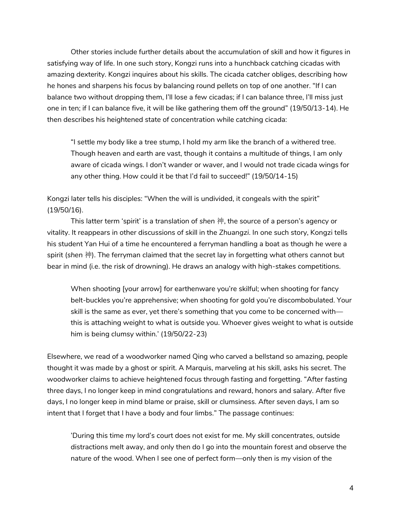Other stories include further details about the accumulation of skill and how it figures in satisfying way of life. In one such story, Kongzi runs into a hunchback catching cicadas with amazing dexterity. Kongzi inquires about his skills. The cicada catcher obliges, describing how he hones and sharpens his focus by balancing round pellets on top of one another. "If I can balance two without dropping them, I'll lose a few cicadas; if I can balance three, I'll miss just one in ten; if I can balance five, it will be like gathering them off the ground" (19/50/13-14). He then describes his heightened state of concentration while catching cicada:

"I settle my body like a tree stump, I hold my arm like the branch of a withered tree. Though heaven and earth are vast, though it contains a multitude of things, I am only aware of cicada wings. I don't wander or waver, and I would not trade cicada wings for any other thing. How could it be that I'd fail to succeed!" (19/50/14-15)

Kongzi later tells his disciples: "When the will is undivided, it congeals with the spirit" (19/50/16).

This latter term 'spirit' is a translation of *shen* 神, the source of a person's agency or vitality. It reappears in other discussions of skill in the *Zhuangzi*. In one such story, Kongzi tells his student Yan Hui of a time he encountered a ferryman handling a boat as though he were a spirit (*shen* 神). The ferryman claimed that the secret lay in forgetting what others cannot but bear in mind (i.e. the risk of drowning). He draws an analogy with high-stakes competitions.

When shooting [your arrow] for earthenware you're skilful; when shooting for fancy belt-buckles you're apprehensive; when shooting for gold you're discombobulated. Your skill is the same as ever, yet there's something that you come to be concerned with this is attaching weight to what is outside you. Whoever gives weight to what is outside him is being clumsy within.' (19/50/22-23)

Elsewhere, we read of a woodworker named Qing who carved a bellstand so amazing, people thought it was made by a ghost or spirit. A Marquis, marveling at his skill, asks his secret. The woodworker claims to achieve heightened focus through fasting and forgetting. "After fasting three days, I no longer keep in mind congratulations and reward, honors and salary. After five days, I no longer keep in mind blame or praise, skill or clumsiness. After seven days, I am so intent that I forget that I have a body and four limbs." The passage continues:

'During this time my lord's court does not exist for me. My skill concentrates, outside distractions melt away, and only then do I go into the mountain forest and observe the nature of the wood. When I see one of perfect form—only then is my vision of the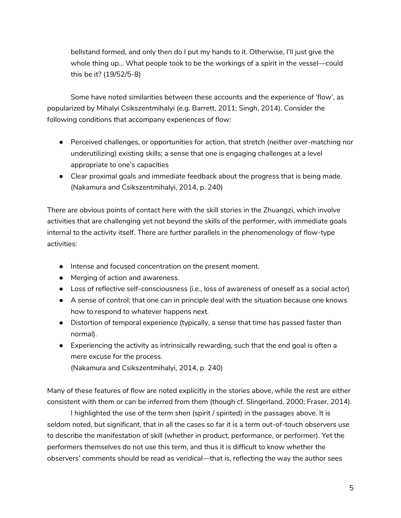bellstand formed, and only then do I put my hands to it. Otherwise, I'll just give the whole thing up… What people took to be the workings of a spirit in the vessel—could this be it? (19/52/5-8)

Some have noted similarities between these accounts and the experience of 'flow', as popularized by Mihalyi Csikszentmihalyi [\(e.g. Barrett, 2011; Singh, 2014\).](https://paperpile.com/c/Sfgud6/N4Nm+elTu/?prefix=e.g.,) Consider the following conditions that accompany experiences of flow:

- Perceived challenges, or opportunities for action, that stretch (neither over-matching nor underutilizing) existing skills; a sense that one is engaging challenges at a level appropriate to one's capacities
- Clear proximal goals and immediate feedback about the progress that is being made. [\(Nakamura and Csikszentmihalyi, 2014, p. 240\)](https://paperpile.com/c/Sfgud6/7JaQ/?locator=240)

There are obvious points of contact here with the skill stories in the Zhuangzi, which involve activities that are challenging yet not beyond the skills of the performer, with immediate goals internal to the activity itself. There are further parallels in the phenomenology of flow-type activities:

- Intense and focused concentration on the present moment.
- Merging of action and awareness.
- Loss of reflective self-consciousness (i.e., loss of awareness of oneself as a social actor)
- A sense of control; that one can in principle deal with the situation because one knows how to respond to whatever happens next.
- Distortion of temporal experience (typically, a sense that time has passed faster than normal).
- Experiencing the activity as intrinsically rewarding, such that the end goal is often a mere excuse for the process. [\(Nakamura and Csikszentmihalyi, 2014, p. 240\)](https://paperpile.com/c/Sfgud6/7JaQ/?locator=240)

Many of these features of flow are noted explicitly in the stories above, while the rest are either consistent with them or can be inferred from them [\(though cf. Slingerland, 2000; Fraser, 2014\).](https://paperpile.com/c/Sfgud6/PGKY+SM4m/?prefix=though%20cf.,)

I highlighted the use of the term *shen* (spirit / spirited) in the passages above. It is seldom noted, but significant, that in all the cases so far it is a term out-of-touch *observers* use to describe the manifestation of skill (whether in product, performance, or performer). Yet the performers themselves do not use this term, and thus it is difficult to know whether the observers' comments should be read as *veridical—*that is, reflecting the way the author sees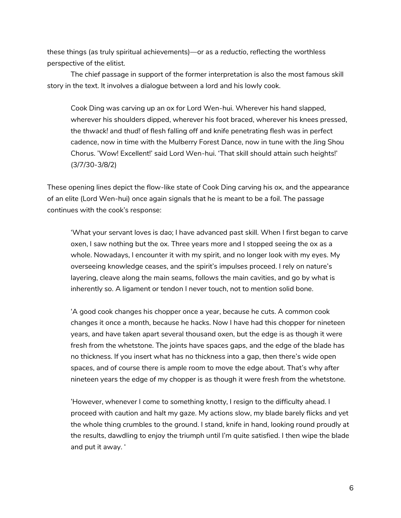these things (as truly spiritual achievements)*—*or as a *reductio*, reflecting the worthless perspective of the elitist.

The chief passage in support of the former interpretation is also the most famous skill story in the text. It involves a dialogue between a lord and his lowly cook.

Cook Ding was carving up an ox for Lord Wen-hui. Wherever his hand slapped, wherever his shoulders dipped, wherever his foot braced, wherever his knees pressed, the *thwack!* and *thud!* of flesh falling off and knife penetrating flesh was in perfect cadence, now in time with the Mulberry Forest Dance, now in tune with the Jing Shou Chorus. 'Wow! Excellent!' said Lord Wen-hui. 'That skill should attain such heights!' (3/7/30-3/8/2)

These opening lines depict the flow-like state of Cook Ding carving his ox, and the appearance of an elite (Lord Wen-hui) once again signals that he is meant to be a foil. The passage continues with the cook's response:

'What your servant loves is *dao*; I have advanced past skill. When I first began to carve oxen, I saw nothing but the ox. Three years more and I stopped seeing the ox as a whole. Nowadays, I encounter it with my spirit, and no longer look with my eyes. My overseeing knowledge ceases, and the spirit's impulses proceed. I rely on nature's layering, cleave along the main seams, follows the main cavities, and go by what is inherently so. A ligament or tendon I never touch, not to mention solid bone.

'A good cook changes his chopper once a year, because he cuts. A common cook changes it once a month, because he hacks. Now I have had this chopper for nineteen years, and have taken apart several thousand oxen, but the edge is as though it were fresh from the whetstone. The joints have spaces gaps, and the edge of the blade has no thickness. If you insert what has no thickness into a gap, then there's wide open spaces, and of course there is ample room to move the edge about. That's why after nineteen years the edge of my chopper is as though it were fresh from the whetstone.

'However, whenever I come to something knotty, I resign to the difficulty ahead. I proceed with caution and halt my gaze. My actions slow, my blade barely flicks and yet the whole thing crumbles to the ground. I stand, knife in hand, looking round proudly at the results, dawdling to enjoy the triumph until I'm quite satisfied. I then wipe the blade and put it away. '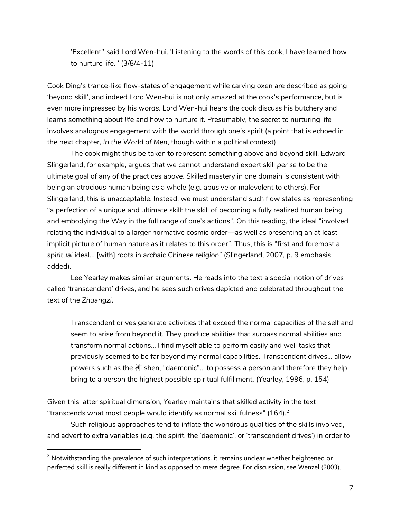'Excellent!' said Lord Wen-hui. 'Listening to the words of this cook, I have learned how to nurture life. ' (3/8/4-11)

Cook Ding's trance-like flow-states of engagement while carving oxen are described as going 'beyond skill', and indeed Lord Wen-hui is not only amazed at the cook's performance, but is even more impressed by his *words*. Lord Wen-hui hears the cook discuss his butchery and learns something about *life* and how to nurture it. Presumably, the secret to nurturing life involves analogous engagement with the world through one's spirit (a point that is echoed in the next chapter, *In the World of Men*, though within a political context).

The cook might thus be taken to represent something above and beyond skill. Edward Slingerland, for example, argues that we cannot understand expert skill *per se* to be the ultimate goal of any of the practices above. Skilled mastery in one domain is consistent with being an atrocious human being as a whole (e.g. abusive or malevolent to others). For Slingerland, this is unacceptable. Instead, we must understand such flow states as representing "a perfection of a unique and ultimate skill: the skill of becoming a fully realized human being and embodying the Way in the full range of one's actions". On this reading, the ideal "involved relating the individual to a larger normative cosmic order—as well as presenting an at least implicit picture of human nature as it relates to this order". Thus, this is "first and foremost a *spiritual* ideal... [with] roots in *archaic Chinese religion*" [\(Slingerland, 2007, p. 9 emphasis](https://paperpile.com/c/Sfgud6/Vqsu/?locator=9&suffix=emphasis%20added)  [added\).](https://paperpile.com/c/Sfgud6/Vqsu/?locator=9&suffix=emphasis%20added) 

Lee Yearley makes similar arguments. He reads into the text a special notion of drives called 'transcendent' drives, and he sees such drives depicted and celebrated throughout the text of the *Zhuangzi*.

Transcendent drives generate activities that exceed the normal capacities of the self and seem to arise from beyond it. They produce abilities that surpass normal abilities and transform normal actions… I find myself able to perform easily and well tasks that previously seemed to be far beyond my normal capabilities. Transcendent drives… allow powers such as the 神 shen, "daemonic"... to possess a person and therefore they help bring to a person the highest possible spiritual fulfillment. [\(Yearley, 1996, p. 154\)](https://paperpile.com/c/Sfgud6/aJfU/?locator=154)

Given this latter spiritual dimension, Yearley maintains that skilled activity in the text "transcends what most people would identify as normal skillfulness" (164).<sup>2</sup>

Such religious approaches tend to inflate the wondrous qualities of the skills involved, and advert to extra variables (e.g. the spirit, the 'daemonic', or 'transcendent drives') in order to

 $2$  Notwithstanding the prevalence of such interpretations, it remains unclear whether heightened or perfected skill is really different in kind as opposed to mere degree. For discussion, see Wenzel [\(2003\).](https://paperpile.com/c/Sfgud6/kdA1/?noauthor=1)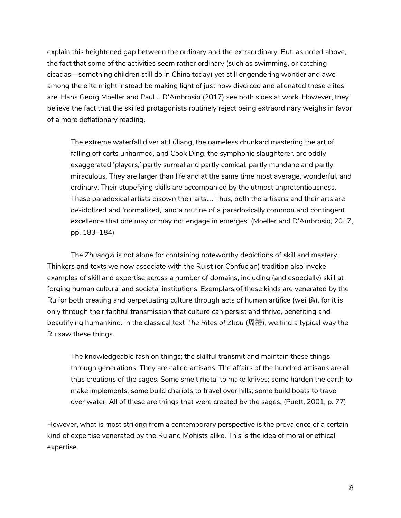explain this heightened gap between the ordinary and the extraordinary. But, as noted above, the fact that some of the activities seem rather ordinary (such as swimming, or catching cicadas—something children still do in China today) yet still engendering wonder and awe among the elite might instead be making light of just how divorced and alienated these elites are. Hans Georg Moeller and Paul J. D'Ambrosio [\(2017\)](https://paperpile.com/c/Sfgud6/NtHl/?noauthor=1) see both sides at work. However, they believe the fact that the skilled protagonists routinely reject being extraordinary weighs in favor of a more deflationary reading.

The extreme waterfall diver at Lüliang, the nameless drunkard mastering the art of falling off carts unharmed, and Cook Ding, the symphonic slaughterer, are oddly exaggerated 'players,' partly surreal and partly comical, partly mundane and partly miraculous. They are larger than life and at the same time most average, wonderful, and ordinary. Their stupefying skills are accompanied by the utmost unpretentiousness. These paradoxical artists *disown* their arts…. Thus, both the artisans and their arts are de-idolized and 'normalized,' and a routine of a paradoxically common and contingent excellence that one may or may not engage in emerges. [\(Moeller and D'Ambrosio, 2017,](https://paperpile.com/c/Sfgud6/NtHl/?locator=183-184)  [pp. 183](https://paperpile.com/c/Sfgud6/NtHl/?locator=183-184)–184)

The *Zhuangzi* is not alone for containing noteworthy depictions of skill and mastery. Thinkers and texts we now associate with the Ruist (or Confucian) tradition also invoke examples of skill and expertise across a number of domains, including (and especially) skill at forging human cultural and societal institutions. Exemplars of these kinds are venerated by the Ru for both creating and perpetuating culture through acts of human artifice (*wei* 偽), for it is only through their faithful transmission that culture can persist and thrive, benefiting and beautifying humankind. In the classical text *The Rites of Zhou* (周禮), we find a typical way the Ru saw these things.

The knowledgeable fashion things; the skillful transmit and maintain these things through generations. They are called artisans. The affairs of the hundred artisans are all thus creations of the sages. Some smelt metal to make knives; some harden the earth to make implements; some build chariots to travel over hills; some build boats to travel over water. All of these are things that were created by the sages. [\(Puett, 2001, p. 77\)](https://paperpile.com/c/Sfgud6/UMpo/?locator=77)

However, what is most striking from a contemporary perspective is the prevalence of a certain kind of expertise venerated by the Ru and Mohists alike. This is the idea of moral or ethical expertise.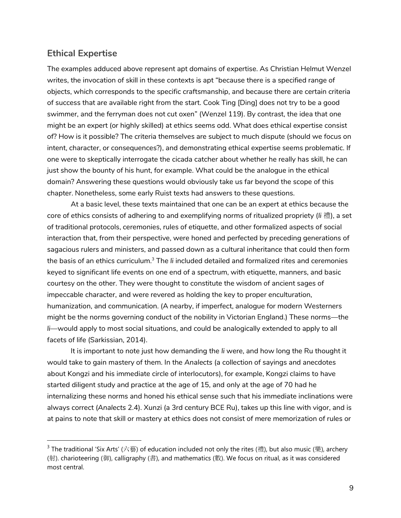### **Ethical Expertise**

The examples adduced above represent apt domains of expertise. As Christian Helmut Wenzel writes, the invocation of skill in these contexts is apt "because there is a specified range of objects, which corresponds to the specific craftsmanship, and because there are certain criteria of success that are available right from the start. Cook Ting [Ding] does not try to be a good swimmer, and the ferryman does not cut oxen" (Wenzel 119). By contrast, the idea that one might be an expert (or highly skilled) at ethics seems odd. What does ethical expertise consist of? How is it possible? The criteria themselves are subject to much dispute (should we focus on intent, character, or consequences?), and demonstrating ethical expertise seems problematic. If one were to skeptically interrogate the cicada catcher about whether he really has skill, he can just show the bounty of his hunt, for example. What could be the analogue in the ethical domain? Answering these questions would obviously take us far beyond the scope of this chapter. Nonetheless, some early Ruist texts had answers to these questions.

At a basic level, these texts maintained that one can be an expert at ethics because the core of ethics consists of adhering to and exemplifying norms of ritualized propriety (*li* 禮), a set of traditional protocols, ceremonies, rules of etiquette, and other formalized aspects of social interaction that, from their perspective, were honed and perfected by preceding generations of sagacious rulers and ministers, and passed down as a cultural inheritance that could then form the basis of an ethics curriculum.<sup>3</sup> The *li* included detailed and formalized rites and ceremonies keyed to significant life events on one end of a spectrum, with etiquette, manners, and basic courtesy on the other. They were thought to constitute the wisdom of ancient sages of impeccable character, and were revered as holding the key to proper enculturation, humanization, and communication. (A nearby, if imperfect, analogue for modern Westerners might be the norms governing conduct of the nobility in Victorian England.) These norms—the *li*—would apply to most social situations, and could be analogically extended to apply to all facets of life [\(Sarkissian, 2014\).](https://paperpile.com/c/Sfgud6/6Lo3)

It is important to note just how demanding the *li* were, and how long the Ru thought it would take to gain mastery of them. In the *Analects* (a collection of sayings and anecdotes about Kongzi and his immediate circle of interlocutors), for example, Kongzi claims to have started diligent study and practice at the age of 15, and only at the age of 70 had he internalizing these norms and honed his ethical sense such that his immediate inclinations were always correct (*Analects* 2.4). Xunzi (a 3rd century BCE Ru), takes up this line with vigor, and is at pains to note that skill or mastery at ethics does not consist of mere memorization of rules or

 $^3$  The traditional 'Six Arts' (六藝) of education included not only the rites (禮), but also music (樂), archery (射). charioteering (御), calligraphy (書), and mathematics (數). We focus on ritual, as it was considered most central.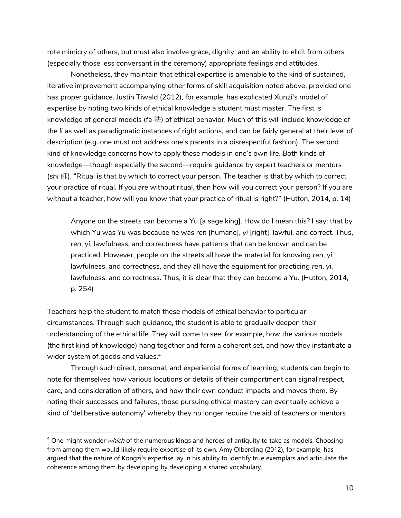rote mimicry of others, but must also involve grace, dignity, and an ability to elicit from others (especially those less conversant in the ceremony) appropriate feelings and attitudes.

Nonetheless, they maintain that ethical expertise is amenable to the kind of sustained, iterative improvement accompanying other forms of skill acquisition noted above, provided one has proper guidance. Justin Tiwald [\(2012\),](https://paperpile.com/c/Sfgud6/5aOB/?noauthor=1) for example, has explicated Xunzi's model of expertise by noting two kinds of ethical knowledge a student must master. The first is knowledge of general models (*fa* 法) of ethical behavior. Much of this will include knowledge of the *li* as well as paradigmatic instances of right actions, and can be fairly general at their level of description (e.g. one must not address one's parents in a disrespectful fashion). The second kind of knowledge concerns how to apply these models in one's own life. Both kinds of knowledge—though especially the second—require guidance by expert teachers or mentors (*shi* 師). "Ritual is that by which to correct your person. The teacher is that by which to correct your practice of ritual. If you are without ritual, then how will you correct your person? If you are without a teacher, how will you know that your practice of ritual is right?" [\(Hutton, 2014, p. 14\)](https://paperpile.com/c/Sfgud6/NvI7/?locator=14)

Anyone on the streets can become a Yu [a sage king]. How do I mean this? I say: that by which Yu was Yu was because he was *ren* [humane], *yi* [right], lawful, and correct. Thus, *ren*, *yi*, lawfulness, and correctness have patterns that can be known and can be practiced. However, people on the streets all have the material for knowing *ren*, *yi*, lawfulness, and correctness, and they all have the equipment for practicing *ren*, *yi*, lawfulness, and correctness. Thus, it is clear that they can become a Yu. [\(Hutton, 2014,](https://paperpile.com/c/Sfgud6/NvI7/?locator=254)  [p. 254\)](https://paperpile.com/c/Sfgud6/NvI7/?locator=254)

Teachers help the student to match these models of ethical behavior to particular circumstances. Through such guidance, the student is able to gradually deepen their understanding of the ethical life. They will come to see, for example, how the various models (the first kind of knowledge) hang together and form a coherent set, and how they instantiate a wider system of goods and values.<sup>4</sup>

Through such direct, personal, and experiential forms of learning, students can begin to note for themselves how various locutions or details of their comportment can signal respect, care, and consideration of others, and how their own conduct impacts and moves them. By noting their successes and failures, those pursuing ethical mastery can eventually achieve a kind of 'deliberative autonomy' whereby they no longer require the aid of teachers or mentors

 $4$  One might wonder *which* of the numerous kings and heroes of antiquity to take as models. Choosing from among them would likely require expertise of its own. Amy Olberding (2012), for example, has argued that the nature of Kongzi's expertise lay in his ability to identify true exemplars and articulate the coherence among them by developing by developing a shared vocabulary.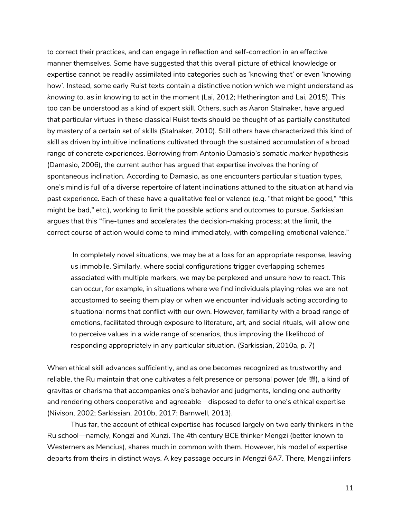to correct their practices, and can engage in reflection and self-correction in an effective manner themselves. Some have suggested that this overall picture of ethical knowledge or expertise cannot be readily assimilated into categories such as 'knowing that' or even 'knowing how'. Instead, some early Ruist texts contain a distinctive notion which we might understand as *knowing to*, as in knowing to act in the moment [\(Lai, 2012; Hetherington and Lai, 2015\).](https://paperpile.com/c/Sfgud6/H4QG+ukO1) This too can be understood as a kind of expert skill. Others, such as Aaron Stalnaker, have argued that particular virtues in these classical Ruist texts should be thought of as partially constituted by mastery of a certain set of skills [\(Stalnaker, 2010\).](https://paperpile.com/c/Sfgud6/OLek) Still others have characterized this kind of skill as driven by intuitive inclinations cultivated through the sustained accumulation of a broad range of concrete experiences. Borrowing from Antonio Damasio's *somatic marker* hypothesis [\(Damasio, 2006\),](https://paperpile.com/c/Sfgud6/0kNd) the current author has argued that expertise involves the honing of spontaneous inclination. According to Damasio, as one encounters particular situation types, one's mind is full of a diverse repertoire of latent inclinations attuned to the situation at hand via past experience. Each of these have a qualitative feel or valence (e.g. "that might be good," "this might be bad," etc.), working to limit the possible actions and outcomes to pursue. Sarkissian argues that this "fine-tunes and *accelerates* the decision-making process; at the limit, the correct course of action would come to mind immediately, with compelling emotional valence."

In completely novel situations, we may be at a loss for an appropriate response, leaving us immobile. Similarly, where social configurations trigger overlapping schemes associated with multiple markers, we may be perplexed and unsure how to react. This can occur, for example, in situations where we find individuals playing roles we are not accustomed to seeing them play or when we encounter individuals acting according to situational norms that conflict with our own. However, familiarity with a broad range of emotions, facilitated through exposure to literature, art, and social rituals, will allow one to perceive values in a wide range of scenarios, thus improving the likelihood of responding appropriately in any particular situation. [\(Sarkissian, 2010a, p. 7\)](https://paperpile.com/c/Sfgud6/R9ta/?locator=6)

When ethical skill advances sufficiently, and as one becomes recognized as trustworthy and reliable, the Ru maintain that one cultivates a felt presence or personal power (*de* 德), a kind of gravitas or charisma that accompanies one's behavior and judgments, lending one authority and rendering others cooperative and agreeable—disposed to defer to one's ethical expertise [\(Nivison, 2002; Sarkissian, 2010b, 2017; Barnwell, 2013\).](https://paperpile.com/c/Sfgud6/ondq+Bq2E+7jPY+ZyP9)

Thus far, the account of ethical expertise has focused largely on two early thinkers in the Ru school—namely, Kongzi and Xunzi. The 4th century BCE thinker Mengzi (better known to Westerners as Mencius), shares much in common with them. However, his model of expertise departs from theirs in distinct ways. A key passage occurs in *Mengzi* 6A7. There, Mengzi infers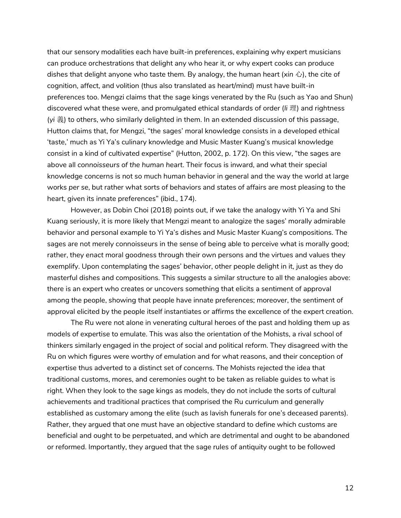that our sensory modalities each have built-in preferences, explaining why expert musicians can produce orchestrations that delight any who hear it, or why expert cooks can produce dishes that delight anyone who taste them. By analogy, the human heart (*xin* 心), the cite of cognition, affect, and volition (thus also translated as heart/mind) must have built-in preferences too. Mengzi claims that the sage kings venerated by the Ru (such as Yao and Shun) discovered what these were, and promulgated ethical standards of order (*li* 理) and rightness (*yi* 義) to others, who similarly delighted in them. In an extended discussion of this passage, Hutton claims that, for Mengzi, "the sages' moral knowledge consists in a developed ethical 'taste,' much as Yi Ya's culinary knowledge and Music Master Kuang's musical knowledge consist in a kind of cultivated expertise" [\(Hutton, 2002, p. 172\)](https://paperpile.com/c/Sfgud6/5UUu/?locator=172&suffix=emphasis%20added). On this view, "the sages are above all *connoisseurs of the human heart*. Their focus is inward, and what their special knowledge concerns is not so much human behavior in general and the way the world at large works *per se*, but rather what sorts of behaviors and states of affairs are most pleasing to the heart, given its innate preferences" (ibid., 174).

However, as Dobin Choi [\(2018\)](https://paperpile.com/c/Sfgud6/Wc2q/?noauthor=1) points out, if we take the analogy with Yi Ya and Shi Kuang seriously, it is more likely that Mengzi meant to analogize the sages' morally admirable behavior and personal example to Yi Ya's dishes and Music Master Kuang's compositions. The sages are not merely connoisseurs in the sense of being able to perceive what is morally good; rather, they *enact* moral goodness through their own persons and the virtues and values they exemplify. Upon contemplating the sages' behavior, other people delight in it, just as they do masterful dishes and compositions. This suggests a similar structure to all the analogies above: there is an expert who creates or uncovers something that elicits a sentiment of approval among the people, showing that people have innate preferences; moreover, the sentiment of approval elicited by the people itself instantiates or affirms the excellence of the expert creation.

The Ru were not alone in venerating cultural heroes of the past and holding them up as models of expertise to emulate. This was also the orientation of the Mohists, a rival school of thinkers similarly engaged in the project of social and political reform. They disagreed with the Ru on which figures were worthy of emulation and for what reasons, and their conception of expertise thus adverted to a distinct set of concerns. The Mohists rejected the idea that traditional customs, mores, and ceremonies ought to be taken as reliable guides to what is right. When they look to the sage kings as models, they do not include the sorts of cultural achievements and traditional practices that comprised the Ru curriculum and generally established as customary among the elite (such as lavish funerals for one's deceased parents). Rather, they argued that one must have an objective standard to define which customs are beneficial and ought to be perpetuated, and which are detrimental and ought to be abandoned or reformed. Importantly, they argued that the sage rules of antiquity ought to be followed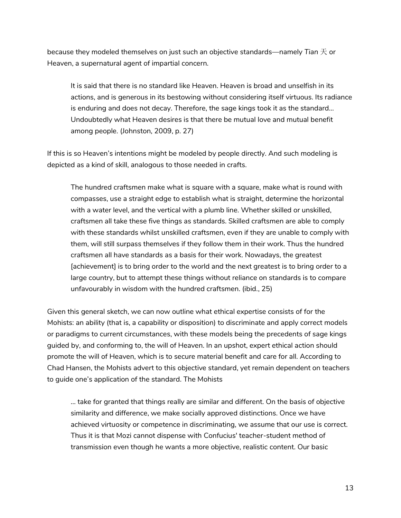because they modeled themselves on just such an objective standards—namely *Tian* 天 or Heaven, a supernatural agent of impartial concern.

It is said that there is no standard like Heaven. Heaven is broad and unselfish in its actions, and is generous in its bestowing without considering itself virtuous. Its radiance is enduring and does not decay. Therefore, the sage kings took it as the standard… Undoubtedly what Heaven desires is that there be mutual love and mutual benefit among people. [\(Johnston, 2009, p. 27\)](https://paperpile.com/c/Sfgud6/YWPz/?locator=27)

If this is so Heaven's intentions might be modeled by people directly. And such modeling is depicted as a kind of skill, analogous to those needed in crafts.

The hundred craftsmen make what is square with a square, make what is round with compasses, use a straight edge to establish what is straight, determine the horizontal with a water level, and the vertical with a plumb line. Whether skilled or unskilled, craftsmen all take these five things as standards. Skilled craftsmen are able to comply with these standards whilst unskilled craftsmen, even if they are unable to comply with them, will still surpass themselves if they follow them in their work. Thus the hundred craftsmen all have standards as a basis for their work. Nowadays, the greatest [achievement] is to bring order to the world and the next greatest is to bring order to a large country, but to attempt these things without reliance on standards is to compare unfavourably in wisdom with the hundred craftsmen. (ibid., 25)

Given this general sketch, we can now outline what ethical expertise consists of for the Mohists: an ability (that is, a capability or disposition) to discriminate and apply correct models or paradigms to current circumstances, with these models being the precedents of sage kings guided by, and conforming to, the will of Heaven. In an upshot, expert ethical action should promote the will of Heaven, which is to secure material benefit and care for all. According to Chad Hansen, the Mohists advert to this objective standard, yet remain dependent on teachers to guide one's application of the standard. The Mohists

… take for granted that things really are similar and different. On the basis of objective similarity and difference, we make socially approved distinctions. Once we have achieved virtuosity or competence in discriminating, we assume that our use is correct. Thus it is that Mozi cannot dispense with Confucius' teacher-student method of transmission even though he wants a more objective, realistic content. Our basic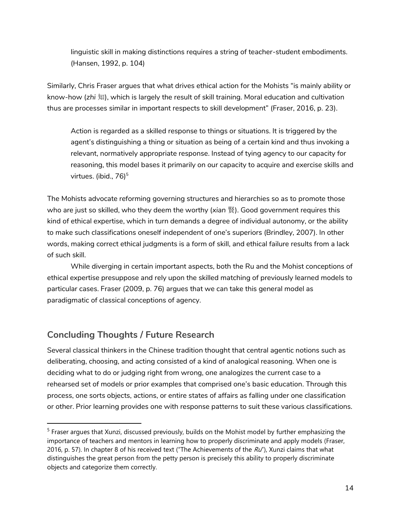linguistic skill in making distinctions requires a string of teacher-student embodiments. [\(Hansen, 1992, p. 104\)](https://paperpile.com/c/Sfgud6/1LAv/?locator=104)

Similarly, Chris Fraser argues that what drives ethical action for the Mohists "is mainly ability or know-how (*zhi* 知), which is largely the result of skill training. Moral education and cultivation thus are processes similar in important respects to skill development" [\(Fraser, 2016, p. 23\).](https://paperpile.com/c/Sfgud6/ceGF/?locator=23)

Action is regarded as a skilled response to things or situations. It is triggered by the agent's distinguishing a thing or situation as being of a certain kind and thus invoking a relevant, normatively appropriate response. Instead of tying agency to our capacity for reasoning, this model bases it primarily on our capacity to acquire and exercise skills and virtues. (ibid.,  $76$ )<sup>5</sup>

The Mohists advocate reforming governing structures and hierarchies so as to promote those who are just so skilled, who they deem the worthy (xian 賢). Good government requires this kind of ethical expertise, which in turn demands a degree of individual autonomy, or the ability to make such classifications oneself independent of one's superiors [\(Brindley, 2007\).](https://paperpile.com/c/Sfgud6/UuY3) In other words, making correct ethical judgments is a form of skill, and ethical failure results from a lack of such skill.

While diverging in certain important aspects, both the Ru and the Mohist conceptions of ethical expertise presuppose and rely upon the skilled matching of previously learned models to particular cases. Fraser [\(2009, p. 76\)](https://paperpile.com/c/Sfgud6/4w5C/?locator=76&noauthor=1) argues that we can take this general model as paradigmatic of classical conceptions of agency.

# **Concluding Thoughts / Future Research**

Several classical thinkers in the Chinese tradition thought that central agentic notions such as deliberating, choosing, and acting consisted of a kind of analogical reasoning. When one is deciding what to do or judging right from wrong, one analogizes the current case to a rehearsed set of models or prior examples that comprised one's basic education. Through this process, one sorts objects, actions, or entire states of affairs as falling under one classification or other. Prior learning provides one with response patterns to suit these various classifications.

<sup>&</sup>lt;sup>5</sup> Fraser argues that Xunzi, discussed previously, builds on the Mohist model by further emphasizing the importance of teachers and mentors in learning how to properly discriminate and apply models [\(Fraser,](https://paperpile.com/c/Sfgud6/ceGF/?locator=57)  [2016, p. 57\).](https://paperpile.com/c/Sfgud6/ceGF/?locator=57) In chapter 8 of his received text ("The Achievements of the  $Ru$ "), Xunzi claims that what distinguishes the great person from the petty person is precisely this ability to properly discriminate objects and categorize them correctly.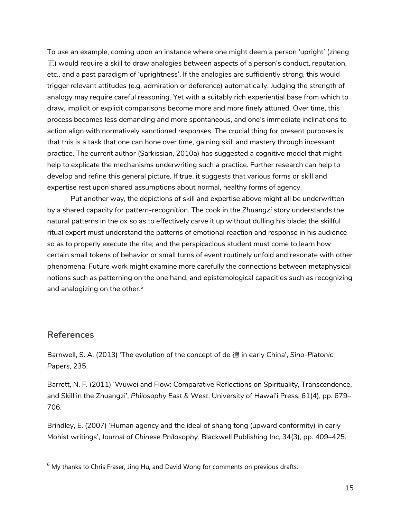To use an example, coming upon an instance where one might deem a person 'upright' (*zheng*   $E$ ) would require a skill to draw analogies between aspects of a person's conduct, reputation, etc., and a past paradigm of 'uprightness'. If the analogies are sufficiently strong, this would trigger relevant attitudes (e.g. admiration or deference) automatically. Judging the strength of analogy may require careful reasoning. Yet with a suitably rich experiential base from which to draw, implicit or explicit comparisons become more and more finely attuned. Over time, this process becomes less demanding and more spontaneous, and one's immediate inclinations to action align with normatively sanctioned responses. The crucial thing for present purposes is that this is a task that one can hone over time, gaining skill and mastery through incessant practice. The current author [\(Sarkissian, 2010a\)](https://paperpile.com/c/Sfgud6/R9ta) has suggested a cognitive model that might help to explicate the mechanisms underwriting such a practice. Further research can help to develop and refine this general picture. If true, it suggests that various forms or skill and expertise rest upon shared assumptions about normal, healthy forms of agency.

Put another way, the depictions of skill and expertise above might all be underwritten by a shared capacity for *pattern-recognition*. The cook in the *Zhuangzi* story understands the natural patterns in the ox so as to effectively carve it up without dulling his blade; the skillful ritual expert must understand the patterns of emotional reaction and response in his audience so as to properly execute the rite; and the perspicacious student must come to learn how certain small tokens of behavior or small turns of event routinely unfold and resonate with other phenomena. Future work might examine more carefully the connections between metaphysical notions such as patterning on the one hand, and epistemological capacities such as recognizing and analogizing on the other.<sup>6</sup>

#### **References**

[Barnwell, S. A. \(2013\) 'The evolution of the concept of de](http://paperpile.com/b/Sfgud6/7jPY) 德 in early China', *[Sino-Platonic](http://paperpile.com/b/Sfgud6/7jPY)  [Papers](http://paperpile.com/b/Sfgud6/7jPY)*[, 235.](http://paperpile.com/b/Sfgud6/7jPY)

[Barrett, N. F. \(2011\) 'Wuwei and Flow: Comparative Reflections on Spirituality, Transcendence,](http://paperpile.com/b/Sfgud6/N4Nm)  [and Skill in the Zhuangzi',](http://paperpile.com/b/Sfgud6/N4Nm) *[Philosophy East & West](http://paperpile.com/b/Sfgud6/N4Nm)*[. University of Hawai'i Press, 61\(4\), pp. 679–](http://paperpile.com/b/Sfgud6/N4Nm) [706.](http://paperpile.com/b/Sfgud6/N4Nm)

[Brindley, E. \(2007\) 'Human agency and the ideal of shang tong \(upward conformity\) in early](http://paperpile.com/b/Sfgud6/UuY3)  [Mohist writings',](http://paperpile.com/b/Sfgud6/UuY3) *[Journal of Chinese Philosophy](http://paperpile.com/b/Sfgud6/UuY3)*[. Blackwell Publishing Inc, 34\(3\), pp. 409](http://paperpile.com/b/Sfgud6/UuY3)–425.

 $6$  My thanks to Chris Fraser, Jing Hu, and David Wong for comments on previous drafts.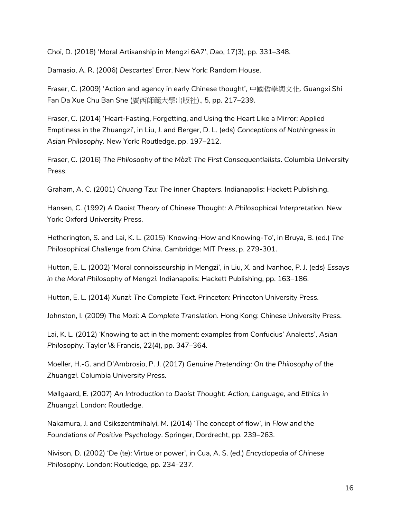[Choi, D. \(2018\) 'Moral Artisanship in Mengzi 6A7',](http://paperpile.com/b/Sfgud6/Wc2q) *[Dao](http://paperpile.com/b/Sfgud6/Wc2q)*[, 17\(3\), pp. 331](http://paperpile.com/b/Sfgud6/Wc2q)–348.

[Damasio, A. R. \(2006\)](http://paperpile.com/b/Sfgud6/0kNd) *[Descartes' Error](http://paperpile.com/b/Sfgud6/0kNd)*[. New York: Random House.](http://paperpile.com/b/Sfgud6/0kNd)

[Fraser, C. \(2009\) 'Action and agency in early Chinese thought',](http://paperpile.com/b/Sfgud6/4w5C) 中國哲學與文化. Guangxi Shi [Fan Da Xue Chu Ban She \(](http://paperpile.com/b/Sfgud6/4w5C)廣西師範大學出版社)., 5, pp. 217–239.

Fraser, C. (2014) 'Heart[-Fasting, Forgetting, and Using the Heart Like a Mirror: Applied](http://paperpile.com/b/Sfgud6/SM4m)  [Emptiness in the Zhuangzi', in Liu, J. and Berger, D. L. \(eds\)](http://paperpile.com/b/Sfgud6/SM4m) *[Conceptions of Nothingness in](http://paperpile.com/b/Sfgud6/SM4m)  [Asian Philosophy](http://paperpile.com/b/Sfgud6/SM4m)*[. New York: Routledge, pp. 197](http://paperpile.com/b/Sfgud6/SM4m)–212.

[Fraser, C. \(2016\)](http://paperpile.com/b/Sfgud6/ceGF) *The Philosophy of the Mòzĭ[: The First Consequentialists](http://paperpile.com/b/Sfgud6/ceGF)*[. Columbia University](http://paperpile.com/b/Sfgud6/ceGF)  [Press.](http://paperpile.com/b/Sfgud6/ceGF)

[Graham, A. C. \(2001\)](http://paperpile.com/b/Sfgud6/FLMS) *[Chuang Tzu: The Inner Chapters](http://paperpile.com/b/Sfgud6/FLMS)*[. Indianapolis: Hackett Publishing.](http://paperpile.com/b/Sfgud6/FLMS)

[Hansen, C. \(1992\)](http://paperpile.com/b/Sfgud6/1LAv) *[A Daoist Theory of Chinese Thought: A Philosophical Interpretation](http://paperpile.com/b/Sfgud6/1LAv)*[. New](http://paperpile.com/b/Sfgud6/1LAv)  [York: Oxford University Press.](http://paperpile.com/b/Sfgud6/1LAv)

[Hetherington, S. and Lai, K. L. \(2015\) 'Knowing](http://paperpile.com/b/Sfgud6/ukO1)-How and Knowing-To', in Bruya, B. (ed.) *[The](http://paperpile.com/b/Sfgud6/ukO1)  [Philosophical Challenge from China](http://paperpile.com/b/Sfgud6/ukO1)*[. Cambridge: MIT Press, p. 279-301.](http://paperpile.com/b/Sfgud6/ukO1)

[Hutton, E. L. \(2002\) 'Moral connoisseurship in Mengzi', in Liu, X. and Ivanhoe, P. J. \(eds\)](http://paperpile.com/b/Sfgud6/5UUu) *[Essays](http://paperpile.com/b/Sfgud6/5UUu)  [in the Moral Philosophy of Mengzi](http://paperpile.com/b/Sfgud6/5UUu)*[. Indianapolis: Hackett Publishing, pp. 163](http://paperpile.com/b/Sfgud6/5UUu)–186.

[Hutton, E. L. \(2014\)](http://paperpile.com/b/Sfgud6/NvI7) *[Xunzi: The Complete Text](http://paperpile.com/b/Sfgud6/NvI7)*[. Princeton: Princeton University Press.](http://paperpile.com/b/Sfgud6/NvI7)

[Johnston, I. \(2009\)](http://paperpile.com/b/Sfgud6/YWPz) *[The Mozi: A Complete Translation](http://paperpile.com/b/Sfgud6/YWPz)*[. Hong Kong: Chinese University Press.](http://paperpile.com/b/Sfgud6/YWPz)

[Lai, K. L. \(2012\) 'Knowing to act in the moment: examples from Confucius' Analects',](http://paperpile.com/b/Sfgud6/H4QG) *[Asian](http://paperpile.com/b/Sfgud6/H4QG)  [Philosophy](http://paperpile.com/b/Sfgud6/H4QG)*[. Taylor \& Francis, 22\(4\), pp. 347](http://paperpile.com/b/Sfgud6/H4QG)–364.

Moeller, H.-[G. and D'Ambrosio, P. J. \(2017\)](http://paperpile.com/b/Sfgud6/NtHl) *[Genuine Pretending: On the Philosophy of the](http://paperpile.com/b/Sfgud6/NtHl)  [Zhuangzi](http://paperpile.com/b/Sfgud6/NtHl)*[. Columbia University Press.](http://paperpile.com/b/Sfgud6/NtHl)

[Møllgaard, E. \(2007\)](http://paperpile.com/b/Sfgud6/le00) *[An Introduction to Daoist Thought: Action, Language, and Ethics in](http://paperpile.com/b/Sfgud6/le00)  [Zhuangzi](http://paperpile.com/b/Sfgud6/le00)*[. London: Routledge.](http://paperpile.com/b/Sfgud6/le00)

[Nakamura, J. and Csikszentmihalyi, M. \(2014\) 'The concept of flow', in](http://paperpile.com/b/Sfgud6/7JaQ) *[Flow and the](http://paperpile.com/b/Sfgud6/7JaQ)  [Foundations of Positive Psychology](http://paperpile.com/b/Sfgud6/7JaQ)*[. Springer, Dordrecht, pp. 239](http://paperpile.com/b/Sfgud6/7JaQ)–263.

[Nivison, D. \(2002\) 'De \(te\): Virtue or power', in Cua, A. S. \(ed.\)](http://paperpile.com/b/Sfgud6/ZyP9) *[Encyclopedia of Chinese](http://paperpile.com/b/Sfgud6/ZyP9)  [Philosophy](http://paperpile.com/b/Sfgud6/ZyP9)*[. London: Routledge, pp. 234](http://paperpile.com/b/Sfgud6/ZyP9)–237.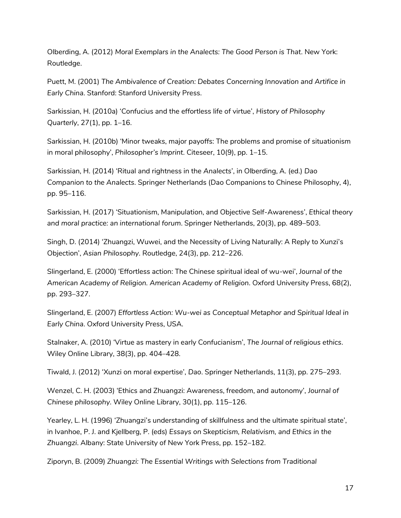[Olberding, A. \(2012\)](http://paperpile.com/b/Sfgud6/FzhI) *[Moral Exemplars in the Analects: The Good Person is That](http://paperpile.com/b/Sfgud6/FzhI)*[. New York:](http://paperpile.com/b/Sfgud6/FzhI)  [Routledge.](http://paperpile.com/b/Sfgud6/FzhI)

[Puett, M. \(2001\)](http://paperpile.com/b/Sfgud6/UMpo) *[The Ambivalence of Creation: Debates Concerning Innovation and Artifice in](http://paperpile.com/b/Sfgud6/UMpo)  [Early China](http://paperpile.com/b/Sfgud6/UMpo)*[. Stanford: Stanford University Press.](http://paperpile.com/b/Sfgud6/UMpo)

[Sarkissian, H. \(2010a\) 'Confucius and the effortless life of virtue',](http://paperpile.com/b/Sfgud6/R9ta) *[History of Philosophy](http://paperpile.com/b/Sfgud6/R9ta)  [Quarterly](http://paperpile.com/b/Sfgud6/R9ta)*[, 27\(1\), pp. 1](http://paperpile.com/b/Sfgud6/R9ta)–16.

[Sarkissian, H. \(2010b\) 'Minor tweaks, major payoffs: The pro](http://paperpile.com/b/Sfgud6/ondq)blems and promise of situationism [in moral philosophy',](http://paperpile.com/b/Sfgud6/ondq) *[Philosopher's Imprint](http://paperpile.com/b/Sfgud6/ondq)*[. Citeseer, 10\(9\), pp. 1](http://paperpile.com/b/Sfgud6/ondq)–15.

[Sarkissian, H. \(2014\) 'Ritual and rightness in the](http://paperpile.com/b/Sfgud6/6Lo3) *[Analects](http://paperpile.com/b/Sfgud6/6Lo3)*[', in Olberding, A. \(ed.\)](http://paperpile.com/b/Sfgud6/6Lo3) *[Dao](http://paperpile.com/b/Sfgud6/6Lo3)  [Companion to the Analects](http://paperpile.com/b/Sfgud6/6Lo3)*[. Springer Netherlands \(Dao Companions to Chinese Philosophy, 4\),](http://paperpile.com/b/Sfgud6/6Lo3)  [pp. 95](http://paperpile.com/b/Sfgud6/6Lo3)–116.

[Sarkissian, H. \(2017\) 'Situationism, M](http://paperpile.com/b/Sfgud6/Bq2E)anipulation, and Objective Self-Awareness', *[Ethical theory](http://paperpile.com/b/Sfgud6/Bq2E)  [and moral practice: an international forum](http://paperpile.com/b/Sfgud6/Bq2E)*[. Springer Netherlands, 20\(3\), pp. 489](http://paperpile.com/b/Sfgud6/Bq2E)–503.

[Singh, D. \(2014\) 'Zhuangzi, Wuwei, and the Necessity of Living Naturally: A Reply to Xunzi's](http://paperpile.com/b/Sfgud6/elTu)  [Objection',](http://paperpile.com/b/Sfgud6/elTu) *[Asian Philosophy](http://paperpile.com/b/Sfgud6/elTu)*[. Routledge, 24\(3\), pp. 212](http://paperpile.com/b/Sfgud6/elTu)–226.

[Slingerland, E. \(2000\) 'Effortless action: The Chinese spiritual ideal of wu](http://paperpile.com/b/Sfgud6/PGKY)-wei', *[Journal of the](http://paperpile.com/b/Sfgud6/PGKY)  [American Academy of Religion. American Academy of Religion](http://paperpile.com/b/Sfgud6/PGKY)*[. Oxford University Press, 68\(2\),](http://paperpile.com/b/Sfgud6/PGKY)  [pp. 293](http://paperpile.com/b/Sfgud6/PGKY)–327.

[Slingerland, E. \(2007\)](http://paperpile.com/b/Sfgud6/Vqsu) *[Effortless Action: Wu-wei as Conceptual Metaphor and Spiritual Ideal in](http://paperpile.com/b/Sfgud6/Vqsu)  [Early China](http://paperpile.com/b/Sfgud6/Vqsu)*[. Oxford University Press, USA.](http://paperpile.com/b/Sfgud6/Vqsu)

[Stalnaker, A. \(2010\) 'Virtue as mastery in early Confucianism',](http://paperpile.com/b/Sfgud6/OLek) *[The Journal of religious ethics](http://paperpile.com/b/Sfgud6/OLek)*[.](http://paperpile.com/b/Sfgud6/OLek)  [Wiley Online Library, 38\(3\), pp. 404](http://paperpile.com/b/Sfgud6/OLek)–428.

[Tiwald, J. \(2012\) 'Xunzi on moral expertise',](http://paperpile.com/b/Sfgud6/5aOB) *[Dao](http://paperpile.com/b/Sfgud6/5aOB)*[. Springer Netherlands, 11\(3\), pp. 275](http://paperpile.com/b/Sfgud6/5aOB)–293.

[Wenzel, C. H. \(2003\) 'Ethics and Zhuangzi: Awareness, freedom, and autonomy',](http://paperpile.com/b/Sfgud6/kdA1) *[Journal of](http://paperpile.com/b/Sfgud6/kdA1)  [Chinese philosophy](http://paperpile.com/b/Sfgud6/kdA1)*[. Wiley Online Library, 30\(1\), pp. 115](http://paperpile.com/b/Sfgud6/kdA1)–126.

[Yearley, L. H. \(1996\) 'Zhuangzi's understanding of skillfulness and the ultimate spiritual state',](http://paperpile.com/b/Sfgud6/aJfU)  [in Ivanhoe, P. J. and Kjellberg, P. \(eds\)](http://paperpile.com/b/Sfgud6/aJfU) *[Essays on Skepticism, Relativism, and Ethics in the](http://paperpile.com/b/Sfgud6/aJfU)  [Zhuangzi](http://paperpile.com/b/Sfgud6/aJfU)*[. Albany: State University of New York Press, pp. 152](http://paperpile.com/b/Sfgud6/aJfU)–182.

[Ziporyn, B. \(2009\)](http://paperpile.com/b/Sfgud6/m6SH) *[Zhuangzi: The Essential Writings with Selections from Traditional](http://paperpile.com/b/Sfgud6/m6SH)*